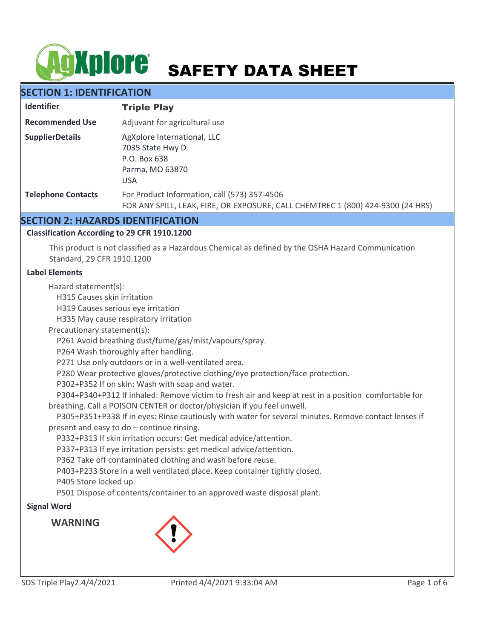# **AgXplore** SAFETY DATA SHEET

# **SECTION 1: IDENTIFICATION**

| <b>Identifier</b>         | <b>Triple Play</b>                                                                                                              |  |  |
|---------------------------|---------------------------------------------------------------------------------------------------------------------------------|--|--|
| <b>Recommended Use</b>    | Adjuvant for agricultural use                                                                                                   |  |  |
| <b>SupplierDetails</b>    | AgXplore International, LLC<br>7035 State Hwy D<br>P.O. Box 638<br>Parma, MO 63870<br><b>USA</b>                                |  |  |
| <b>Telephone Contacts</b> | For Product Information, call (573) 357-4506<br>FOR ANY SPILL, LEAK, FIRE, OR EXPOSURE, CALL CHEMTREC 1 (800) 424-9300 (24 HRS) |  |  |

# **SECTION 2: HAZARDS IDENTIFICATION**

# **Classification According to 29 CFR 1910.1200**

This product is not classified as a Hazardous Chemical as defined by the OSHA Hazard Communication Standard, 29 CFR 1910.1200

#### **Label Elements**

Hazard statement(s):

H315 Causes skin irritation

H319 Causes serious eye irritation

H335 May cause respiratory irritation

Precautionary statement(s):

P261 Avoid breathing dust/fume/gas/mist/vapours/spray.

P264 Wash thoroughly after handling.

P271 Use only outdoors or in a well-ventilated area.

P280 Wear protective gloves/protective clothing/eye protection/face protection.

P302+P352 If on skin: Wash with soap and water.

 P304+P340+P312 If inhaled: Remove victim to fresh air and keep at rest in a position comfortable for breathing. Call a POISON CENTER or doctor/physician if you feel unwell.

 P305+P351+P338 If in eyes: Rinse cautiously with water for several minutes. Remove contact lenses if present and easy to do – continue rinsing.

P332+P313 If skin irritation occurs: Get medical advice/attention.

P337+P313 If eye irritation persists: get medical advice/attention.

P362 Take off contaminated clothing and wash before reuse.

P403+P233 Store in a well ventilated place. Keep container tightly closed.

P405 Store locked up.

P501 Dispose of contents/container to an approved waste disposal plant.

# **Signal Word**

**WARNING**

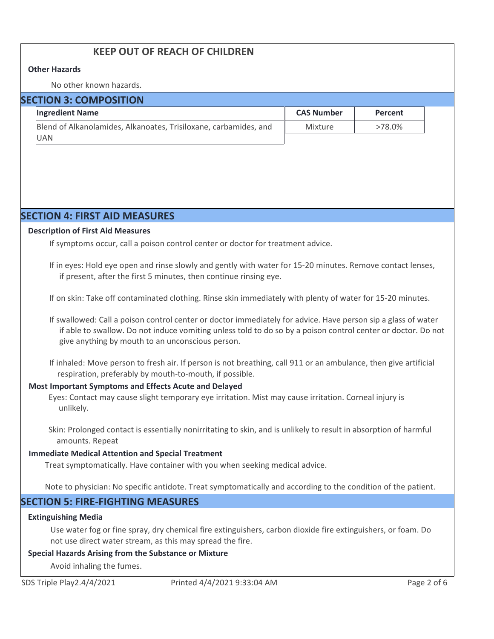# **KEEP OUT OF REACH OF CHILDREN**

#### **Other Hazards**

No other known hazards.

| <b>SECTION 3: COMPOSITION</b> |                                                                  |                   |           |  |  |
|-------------------------------|------------------------------------------------------------------|-------------------|-----------|--|--|
|                               | <b>Ingredient Name</b>                                           | <b>CAS Number</b> | Percent   |  |  |
|                               | Blend of Alkanolamides, Alkanoates, Trisiloxane, carbamides, and | Mixture           | $>78.0\%$ |  |  |
|                               | <b>UAN</b>                                                       |                   |           |  |  |

# **SECTION 4: FIRST AID MEASURES**

#### **Description of First Aid Measures**

If symptoms occur, call a poison control center or doctor for treatment advice.

If in eyes: Hold eye open and rinse slowly and gently with water for 15-20 minutes. Remove contact lenses, if present, after the first 5 minutes, then continue rinsing eye.

If on skin: Take off contaminated clothing. Rinse skin immediately with plenty of water for 15-20 minutes.

If swallowed: Call a poison control center or doctor immediately for advice. Have person sip a glass of water if able to swallow. Do not induce vomiting unless told to do so by a poison control center or doctor. Do not give anything by mouth to an unconscious person.

If inhaled: Move person to fresh air. If person is not breathing, call 911 or an ambulance, then give artificial respiration, preferably by mouth-to-mouth, if possible.

#### **Most Important Symptoms and Effects Acute and Delayed**

Eyes: Contact may cause slight temporary eye irritation. Mist may cause irritation. Corneal injury is unlikely.

Skin: Prolonged contact is essentially nonirritating to skin, and is unlikely to result in absorption of harmful amounts. Repeat

#### **Immediate Medical Attention and Special Treatment**

Treat symptomatically. Have container with you when seeking medical advice.

Note to physician: No specific antidote. Treat symptomatically and according to the condition of the patient.

# **SECTION 5: FIRE-FIGHTING MEASURES**

#### **Extinguishing Media**

Use water fog or fine spray, dry chemical fire extinguishers, carbon dioxide fire extinguishers, or foam. Do not use direct water stream, as this may spread the fire.

#### **Special Hazards Arising from the Substance or Mixture**

Avoid inhaling the fumes.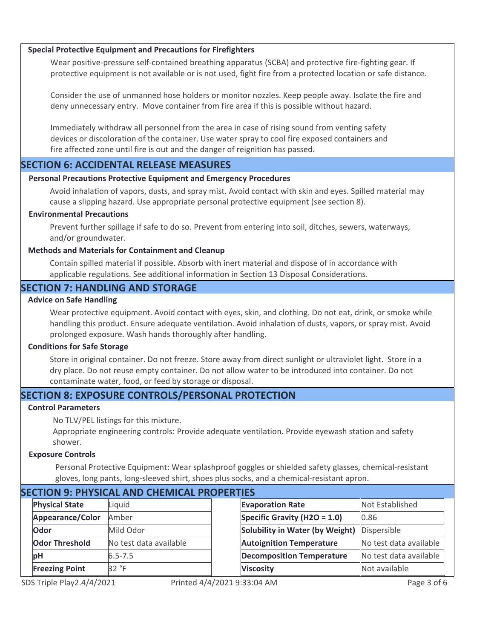#### **Special Protective Equipment and Precautions for Firefighters**

Wear positive-pressure self-contained breathing apparatus (SCBA) and protective fire-fighting gear. If protective equipment is not available or is not used, fight fire from a protected location or safe distance.

Consider the use of unmanned hose holders or monitor nozzles. Keep people away. Isolate the fire and deny unnecessary entry. Move container from fire area if this is possible without hazard.

Immediately withdraw all personnel from the area in case of rising sound from venting safety devices or discoloration of the container. Use water spray to cool fire exposed containers and fire affected zone until fire is out and the danger of reignition has passed.

# **SECTION 6: ACCIDENTAL RELEASE MEASURES**

#### **Personal Precautions Protective Equipment and Emergency Procedures**

Avoid inhalation of vapors, dusts, and spray mist. Avoid contact with skin and eyes. Spilled material may cause a slipping hazard. Use appropriate personal protective equipment (see section 8).

#### **Environmental Precautions**

Prevent further spillage if safe to do so. Prevent from entering into soil, ditches, sewers, waterways, and/or groundwater.

#### **Methods and Materials for Containment and Cleanup**

Contain spilled material if possible. Absorb with inert material and dispose of in accordance with applicable regulations. See additional information in Section 13 Disposal Considerations.

# **SECTION 7: HANDLING AND STORAGE**

#### **Advice on Safe Handling**

Wear protective equipment. Avoid contact with eyes, skin, and clothing. Do not eat, drink, or smoke while handling this product. Ensure adequate ventilation. Avoid inhalation of dusts, vapors, or spray mist. Avoid prolonged exposure. Wash hands thoroughly after handling.

#### **Conditions for Safe Storage**

Store in original container. Do not freeze. Store away from direct sunlight or ultraviolet light. Store in a dry place. Do not reuse empty container. Do not allow water to be introduced into container. Do not contaminate water, food, or feed by storage or disposal.

# **SECTION 8: EXPOSURE CONTROLS/PERSONAL PROTECTION**

#### **Control Parameters**

No TLV/PEL listings for this mixture.

Appropriate engineering controls: Provide adequate ventilation. Provide eyewash station and safety shower.

#### **Exposure Controls**

Personal Protective Equipment: Wear splashproof goggles or shielded safety glasses, chemical-resistant gloves, long pants, long-sleeved shirt, shoes plus socks, and a chemical-resistant apron.

| SECTION 9. PHTSICAL AND CHEMICAL PROPERTIES |                       |                        |  |                                  |                        |
|---------------------------------------------|-----------------------|------------------------|--|----------------------------------|------------------------|
|                                             | <b>Physical State</b> | Liquid                 |  | <b>Evaporation Rate</b>          | Not Established        |
|                                             | Appearance/Color      | Amber                  |  | Specific Gravity (H2O = $1.0$ )  | 0.86                   |
|                                             | Odor                  | Mild Odor              |  | Solubility in Water (by Weight)  | Dispersible            |
|                                             | <b>Odor Threshold</b> | No test data available |  | <b>Autoignition Temperature</b>  | No test data available |
|                                             | <b>bH</b>             | $6.5 - 7.5$            |  | <b>Decomposition Temperature</b> | No test data available |
|                                             | <b>Freezing Point</b> | 32 °F                  |  | <b>Viscosity</b>                 | Not available          |
|                                             |                       |                        |  |                                  |                        |

# **SECTION 9: PHYSICAL AND CHEMICAL PROPERTIES**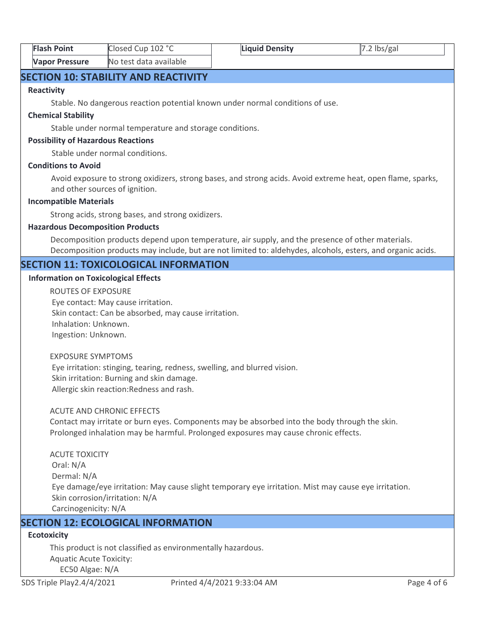| <b>Flash Point</b>    | Closed Cup 102 °C      | Liquid Density | $7.2$ lbs/gal |  |
|-----------------------|------------------------|----------------|---------------|--|
| <b>Vapor Pressure</b> | No test data available |                |               |  |

# **SECTION 10: STABILITY AND REACTIVITY**

#### **Reactivity**

Stable. No dangerous reaction potential known under normal conditions of use.

#### **Chemical Stability**

Stable under normal temperature and storage conditions.

#### **Possibility of Hazardous Reactions**

Stable under normal conditions.

#### **Conditions to Avoid**

Avoid exposure to strong oxidizers, strong bases, and strong acids. Avoid extreme heat, open flame, sparks, and other sources of ignition.

#### **Incompatible Materials**

Strong acids, strong bases, and strong oxidizers.

#### **Hazardous Decomposition Products**

Decomposition products depend upon temperature, air supply, and the presence of other materials. Decomposition products may include, but are not limited to: aldehydes, alcohols, esters, and organic acids.

# **SECTION 11: TOXICOLOGICAL INFORMATION**

#### **Information on Toxicological Effects**

ROUTES OF EXPOSURE Eye contact: May cause irritation. Skin contact: Can be absorbed, may cause irritation. Inhalation: Unknown. Ingestion: Unknown.

#### EXPOSURE SYMPTOMS

 Eye irritation: stinging, tearing, redness, swelling, and blurred vision. Skin irritation: Burning and skin damage. Allergic skin reaction:Redness and rash.

#### ACUTE AND CHRONIC EFFECTS

Contact may irritate or burn eyes. Components may be absorbed into the body through the skin. Prolonged inhalation may be harmful. Prolonged exposures may cause chronic effects.

ACUTE TOXICITY Oral: N/A Dermal: N/A Eye damage/eye irritation: May cause slight temporary eye irritation. Mist may cause eye irritation. Skin corrosion/irritation: N/A Carcinogenicity: N/A

# **SECTION 12: ECOLOGICAL INFORMATION**

# **Ecotoxicity**

This product is not classified as environmentally hazardous. Aquatic Acute Toxicity: EC50 Algae: N/A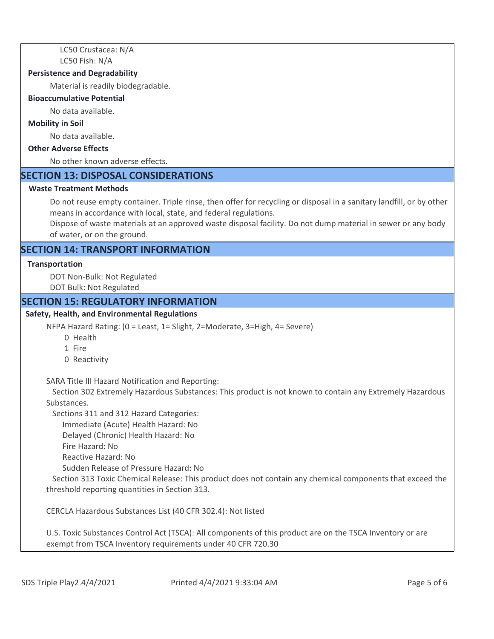LC50 Crustacea: N/A LC50 Fish: N/A

#### **Persistence and Degradability**

Material is readily biodegradable.

#### **Bioaccumulative Potential**

No data available.

#### **Mobility in Soil**

No data available.

# **Other Adverse Effects**

No other known adverse effects.

# **SECTION 13: DISPOSAL CONSIDERATIONS**

#### **Waste Treatment Methods**

Do not reuse empty container. Triple rinse, then offer for recycling or disposal in a sanitary landfill, or by other means in accordance with local, state, and federal regulations.

Dispose of waste materials at an approved waste disposal facility. Do not dump material in sewer or any body of water, or on the ground.

# **SECTION 14: TRANSPORT INFORMATION**

#### **Transportation**

DOT Non-Bulk: Not Regulated DOT Bulk: Not Regulated

#### **SECTION 15: REGULATORY INFORMATION**

#### **Safety, Health, and Environmental Regulations**

NFPA Hazard Rating: (0 = Least, 1= Slight, 2=Moderate, 3=High, 4= Severe)

- 0 Health
- 1 Fire
- 0 Reactivity

SARA Title III Hazard Notification and Reporting:

 Section 302 Extremely Hazardous Substances: This product is not known to contain any Extremely Hazardous Substances.

Sections 311 and 312 Hazard Categories:

Immediate (Acute) Health Hazard: No

Delayed (Chronic) Health Hazard: No

- Fire Hazard: No
- Reactive Hazard: No

Sudden Release of Pressure Hazard: No

 Section 313 Toxic Chemical Release: This product does not contain any chemical components that exceed the threshold reporting quantities in Section 313.

CERCLA Hazardous Substances List (40 CFR 302.4): Not listed

U.S. Toxic Substances Control Act (TSCA): All components of this product are on the TSCA Inventory or are exempt from TSCA Inventory requirements under 40 CFR 720.30